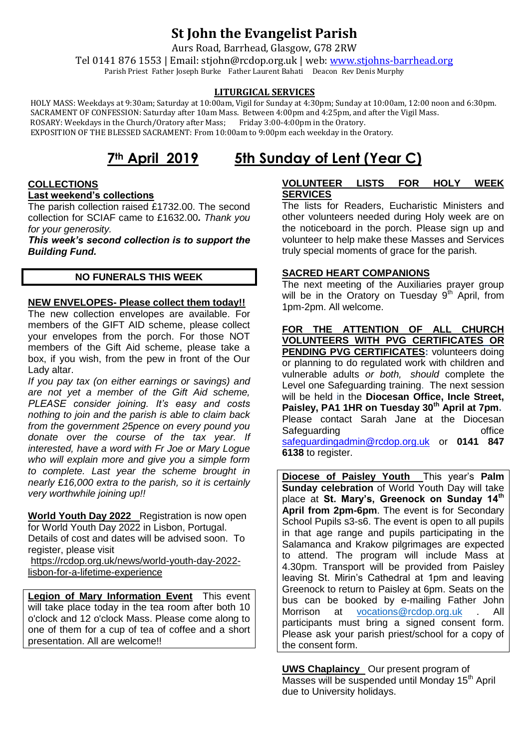## **St John the Evangelist Parish**

Aurs Road, Barrhead, Glasgow, G78 2RW

Tel 0141 876 1553 | Email: stjohn@rcdop.org.uk | web: [www.stjohns-barrhead.org](http://www.stjohns-barrhead.org/) Parish Priest Father Joseph Burke Father Laurent Bahati Deacon Rev Denis Murphy

#### **LITURGICAL SERVICES**

 HOLY MASS: Weekdays at 9:30am; Saturday at 10:00am, Vigil for Sunday at 4:30pm; Sunday at 10:00am, 12:00 noon and 6:30pm. SACRAMENT OF CONFESSION: Saturday after 10am Mass. Between 4:00pm and 4:25pm, and after the Vigil Mass.<br>ROSARY: Weekdays in the Church/Oratory after Mass; Friday 3:00-4:00pm in the Oratory. ROSARY: Weekdays in the Church/Oratory after Mass; EXPOSITION OF THE BLESSED SACRAMENT: From 10:00am to 9:00pm each weekday in the Oratory.

# **7th April 2019 5th Sunday of Lent (Year C)**

#### **COLLECTIONS Last weekend's collections**

The parish collection raised £1732.00. The second collection for SCIAF came to £1632.00*. Thank you for your generosity.*

*This week's second collection is to support the Building Fund.*

#### **NO FUNERALS THIS WEEK**

#### **NEW ENVELOPES- Please collect them today!!**

The new collection envelopes are available. For members of the GIFT AID scheme, please collect your envelopes from the porch. For those NOT members of the Gift Aid scheme, please take a box, if you wish, from the pew in front of the Our Lady altar.

*If you pay tax (on either earnings or savings) and are not yet a member of the Gift Aid scheme, PLEASE consider joining. It's easy and costs nothing to join and the parish is able to claim back from the government 25pence on every pound you donate over the course of the tax year. If interested, have a word with Fr Joe or Mary Logue who will explain more and give you a simple form to complete. Last year the scheme brought in nearly* £*16,000 extra to the parish, so it is certainly very worthwhile joining up!!*

**World Youth Day 2022** Registration is now open for World Youth Day 2022 in Lisbon, Portugal. Details of cost and dates will be advised soon. To register, please visit [https://rcdop.org.uk/news/world-youth-day-2022-](https://rcdop.org.uk/news/world-youth-day-2022-lisbon-for-a-lifetime-experience)

[lisbon-for-a-lifetime-experience](https://rcdop.org.uk/news/world-youth-day-2022-lisbon-for-a-lifetime-experience)

**Legion of Mary Information Event** This event will take place today in the tea room after both 10 o'clock and 12 o'clock Mass. Please come along to one of them for a cup of tea of coffee and a short presentation. All are welcome!!

#### **VOLUNTEER LISTS FOR HOLY WEEK SERVICES**

The lists for Readers, Eucharistic Ministers and other volunteers needed during Holy week are on the noticeboard in the porch. Please sign up and volunteer to help make these Masses and Services truly special moments of grace for the parish.

#### **SACRED HEART COMPANIONS**

The next meeting of the Auxiliaries prayer group will be in the Oratory on Tuesday  $9<sup>th</sup>$  April, from 1pm-2pm. All welcome.

**FOR THE ATTENTION OF ALL CHURCH VOLUNTEERS WITH PVG CERTIFICATES OR PENDING PVG CERTIFICATES:** volunteers doing or planning to do regulated work with children and vulnerable adults *or both, should* complete the Level one Safeguarding training. The next session will be held in the **Diocesan Office, Incle Street, Paisley, PA1 1HR on Tuesday 30th April at 7pm.** Please contact Sarah Jane at the Diocesan Safeguarding **office** of the state of the state of the state of the state of the state of the state of the state of the state of the state of the state of the state of the state of the state of the state of the state of th [safeguardingadmin@rcdop.org.uk](mailto:safeguardingadmin@rcdop.org.uk) or **0141 847 6138** to register.

**Diocese of Paisley Youth** This year's **Palm Sunday celebration** of World Youth Day will take place at **St. Mary's, Greenock on Sunday 14th April from 2pm-6pm**. The event is for Secondary School Pupils s3-s6. The event is open to all pupils in that age range and pupils participating in the Salamanca and Krakow pilgrimages are expected to attend. The program will include Mass at 4.30pm. Transport will be provided from Paisley leaving St. Mirin's Cathedral at 1pm and leaving Greenock to return to Paisley at 6pm. Seats on the bus can be booked by e-mailing Father John Morrison at [vocations@rcdop.org.uk](mailto:vocations@rcdop.org.uk) . All participants must bring a signed consent form. Please ask your parish priest/school for a copy of the consent form.

**UWS Chaplaincy** Our present program of Masses will be suspended until Monday 15<sup>th</sup> April due to University holidays.